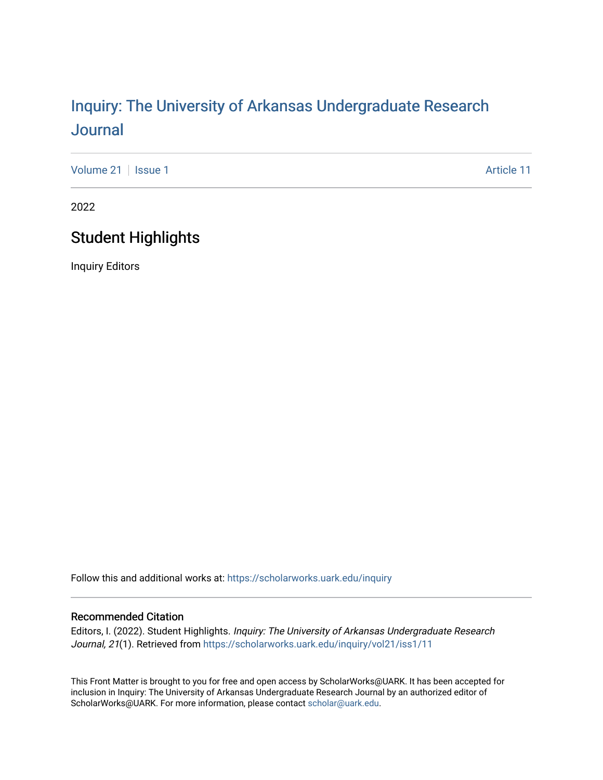# Inquiry: The Univ[ersity of Arkansas Undergraduate Resear](https://scholarworks.uark.edu/inquiry)ch [Journal](https://scholarworks.uark.edu/inquiry)

[Volume 21](https://scholarworks.uark.edu/inquiry/vol21) | [Issue 1](https://scholarworks.uark.edu/inquiry/vol21/iss1) Article 11

2022

### Student Highlights

Inquiry Editors

Follow this and additional works at: [https://scholarworks.uark.edu/inquiry](https://scholarworks.uark.edu/inquiry?utm_source=scholarworks.uark.edu%2Finquiry%2Fvol21%2Fiss1%2F11&utm_medium=PDF&utm_campaign=PDFCoverPages)

#### Recommended Citation

Editors, I. (2022). Student Highlights. Inquiry: The University of Arkansas Undergraduate Research Journal, 21(1). Retrieved from [https://scholarworks.uark.edu/inquiry/vol21/iss1/11](https://scholarworks.uark.edu/inquiry/vol21/iss1/11?utm_source=scholarworks.uark.edu%2Finquiry%2Fvol21%2Fiss1%2F11&utm_medium=PDF&utm_campaign=PDFCoverPages) 

This Front Matter is brought to you for free and open access by ScholarWorks@UARK. It has been accepted for inclusion in Inquiry: The University of Arkansas Undergraduate Research Journal by an authorized editor of ScholarWorks@UARK. For more information, please contact [scholar@uark.edu](mailto:scholar@uark.edu).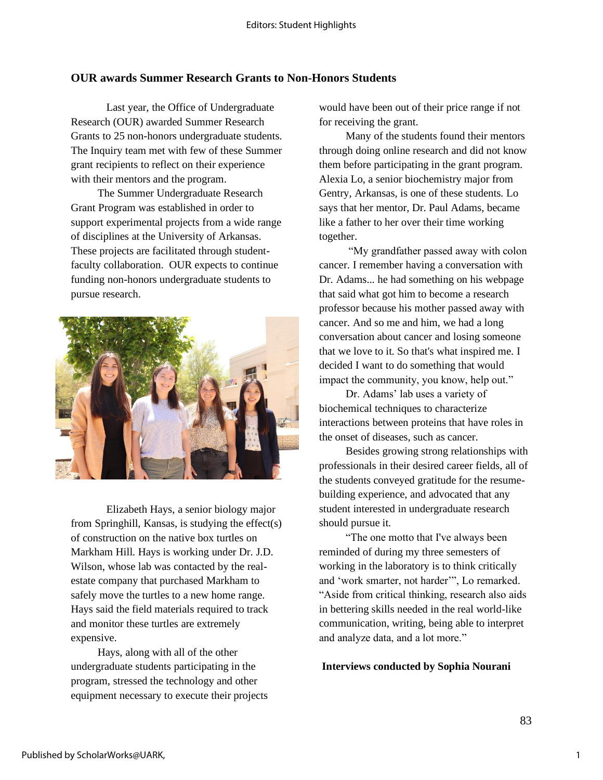#### **OUR awards Summer Research Grants to Non-Honors Students**

Last year, the Office of Undergraduate Research (OUR) awarded Summer Research Grants to 25 non-honors undergraduate students. The Inquiry team met with few of these Summer grant recipients to reflect on their experience with their mentors and the program.

The Summer Undergraduate Research Grant Program was established in order to support experimental projects from a wide range of disciplines at the University of Arkansas. These projects are facilitated through studentfaculty collaboration. OUR expects to continue funding non-honors undergraduate students to pursue research.



Elizabeth Hays, a senior biology major from Springhill, Kansas, is studying the effect(s) of construction on the native box turtles on Markham Hill. Hays is working under Dr. J.D. Wilson, whose lab was contacted by the realestate company that purchased Markham to safely move the turtles to a new home range. Hays said the field materials required to track and monitor these turtles are extremely expensive.

Hays, along with all of the other undergraduate students participating in the program, stressed the technology and other equipment necessary to execute their projects would have been out of their price range if not for receiving the grant.

Many of the students found their mentors through doing online research and did not know them before participating in the grant program. Alexia Lo, a senior biochemistry major from Gentry, Arkansas, is one of these students. Lo says that her mentor, Dr. Paul Adams, became like a father to her over their time working together.

"My grandfather passed away with colon cancer. I remember having a conversation with Dr. Adams... he had something on his webpage that said what got him to become a research professor because his mother passed away with cancer. And so me and him, we had a long conversation about cancer and losing someone that we love to it. So that's what inspired me. I decided I want to do something that would impact the community, you know, help out."

Dr. Adams' lab uses a variety of biochemical techniques to characterize interactions between proteins that have roles in the onset of diseases, such as cancer.

Besides growing strong relationships with professionals in their desired career fields, all of the students conveyed gratitude for the resumebuilding experience, and advocated that any student interested in undergraduate research should pursue it.

"The one motto that I've always been reminded of during my three semesters of working in the laboratory is to think critically and 'work smarter, not harder'", Lo remarked. "Aside from critical thinking, research also aids in bettering skills needed in the real world-like communication, writing, being able to interpret and analyze data, and a lot more."

**Interviews conducted by Sophia Nourani**

83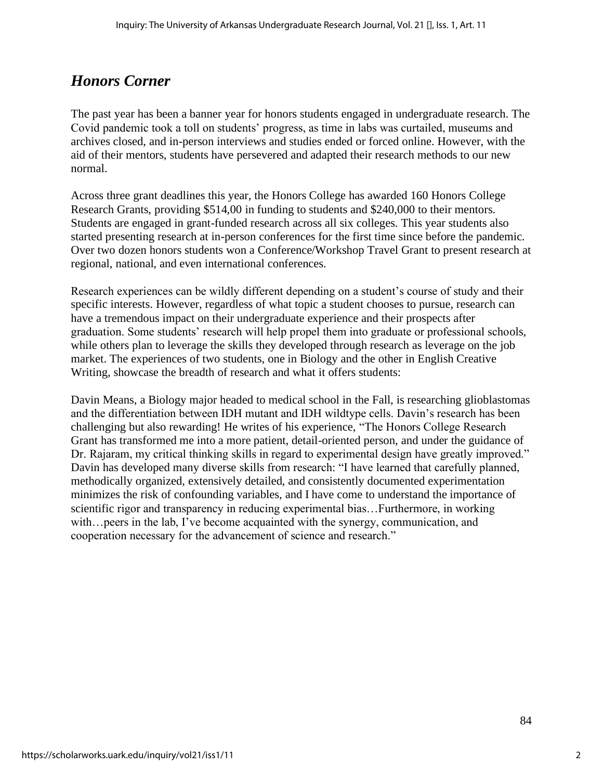## *Honors Corner*

The past year has been a banner year for honors students engaged in undergraduate research. The Covid pandemic took a toll on students' progress, as time in labs was curtailed, museums and archives closed, and in-person interviews and studies ended or forced online. However, with the aid of their mentors, students have persevered and adapted their research methods to our new normal.

Across three grant deadlines this year, the Honors College has awarded 160 Honors College Research Grants, providing \$514,00 in funding to students and \$240,000 to their mentors. Students are engaged in grant-funded research across all six colleges. This year students also started presenting research at in-person conferences for the first time since before the pandemic. Over two dozen honors students won a Conference/Workshop Travel Grant to present research at regional, national, and even international conferences.

Research experiences can be wildly different depending on a student's course of study and their specific interests. However, regardless of what topic a student chooses to pursue, research can have a tremendous impact on their undergraduate experience and their prospects after graduation. Some students' research will help propel them into graduate or professional schools, while others plan to leverage the skills they developed through research as leverage on the job market. The experiences of two students, one in Biology and the other in English Creative Writing, showcase the breadth of research and what it offers students:

Davin Means, a Biology major headed to medical school in the Fall, is researching glioblastomas and the differentiation between IDH mutant and IDH wildtype cells. Davin's research has been challenging but also rewarding! He writes of his experience, "The Honors College Research Grant has transformed me into a more patient, detail-oriented person, and under the guidance of Dr. Rajaram, my critical thinking skills in regard to experimental design have greatly improved." Davin has developed many diverse skills from research: "I have learned that carefully planned, methodically organized, extensively detailed, and consistently documented experimentation minimizes the risk of confounding variables, and I have come to understand the importance of scientific rigor and transparency in reducing experimental bias…Furthermore, in working with…peers in the lab, I've become acquainted with the synergy, communication, and cooperation necessary for the advancement of science and research."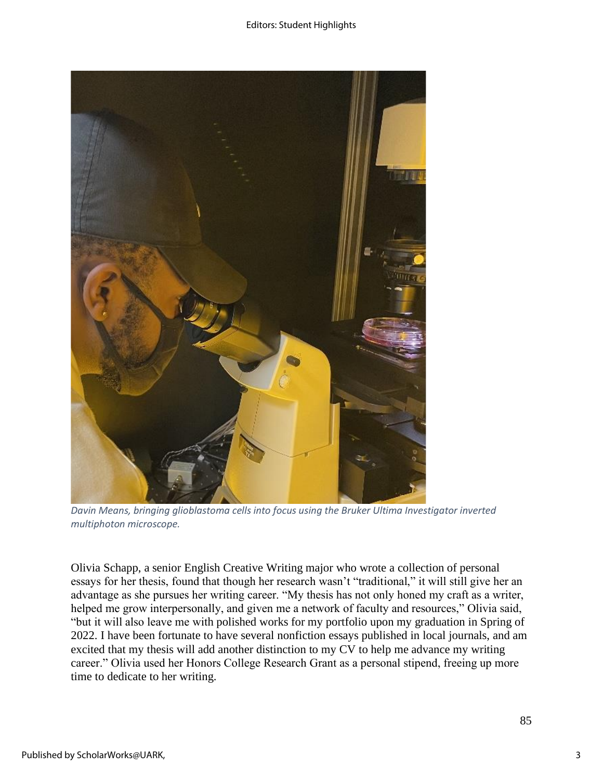

*Davin Means, bringing glioblastoma cells into focus using the Bruker Ultima Investigator inverted multiphoton microscope.*

Olivia Schapp, a senior English Creative Writing major who wrote a collection of personal essays for her thesis, found that though her research wasn't "traditional," it will still give her an advantage as she pursues her writing career. "My thesis has not only honed my craft as a writer, helped me grow interpersonally, and given me a network of faculty and resources," Olivia said, "but it will also leave me with polished works for my portfolio upon my graduation in Spring of 2022. I have been fortunate to have several nonfiction essays published in local journals, and am excited that my thesis will add another distinction to my CV to help me advance my writing career." Olivia used her Honors College Research Grant as a personal stipend, freeing up more time to dedicate to her writing.

3